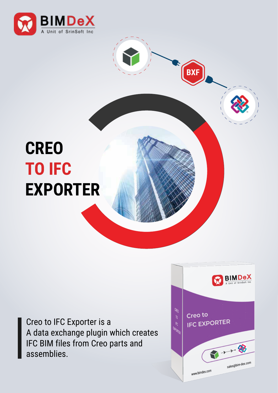

## **CREO TO IFC EXPORTER**

Creo to IFC Exporter is a A data exchange plugin which creates IFC BIM files from Creo parts and assemblies.



**BXF**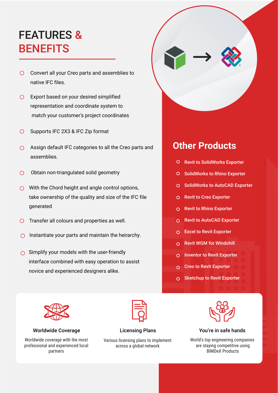## FEATURES & **BENEFITS**

- O Convert all your Creo parts and assemblies to native IFC files.
- Export based on your desired simplified representation and coordinate system to match your customer's project coordinates
- Supports IFC 2X3 & IFC Zip format  $\bigcap$
- $\bigcirc$  Assign default IFC categories to all the Creo parts and assemblies.
- Obtain non-triangulated solid geometry  $\bigcap$
- $\bigcirc$  With the Chord height and angle control options, take ownership of the quality and size of the IFC file generated
- $\bigcirc$  Transfer all colours and properties as well.
- $\bigcirc$  Instantiate your parts and maintain the heirarchy.
- $\bigcirc$  Simplify your models with the user-friendly interface combined with easy operation to assist novice and experienced designers alike.



Various licensing plans to implement across a global network



### **Other Products**

- O Revit to SolidWorks Exporter
- O SolidWorks to Rhino Exporter
- O SolidWorks to AutoCAD Exporter
- O Revit to Creo Exporter
- O Revit to Rhino Exporter
- O Revit to AutoCAD Exporter
- Excel to Revit Exporter
- $\cap$  Revit WGM for Windchill
- O Inventor to Revit Exporter
- Creo to Revit Exporter
- O Sketchup to Revit Exporter



#### Worldwide Coverage The Licensing Plans The You're in safe hands

World's top engineering companies are staying competitive using BIMDeX Products



Worldwide coverage with the most professional and experienced local partners